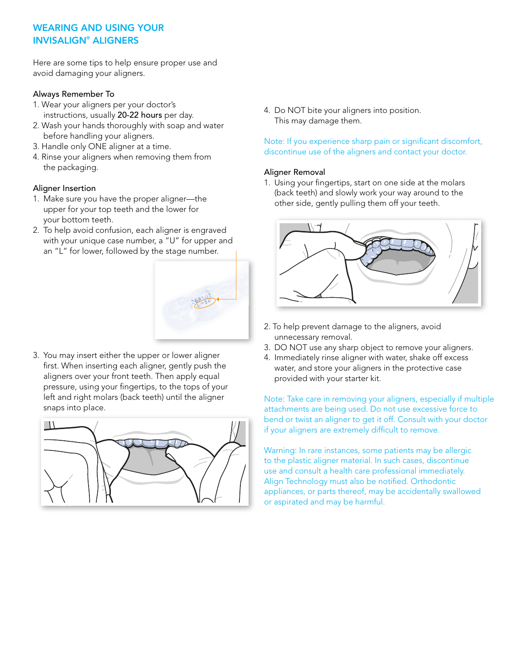# WEARING AND USING YOUR INVISALIGN® ALIGNERS

Here are some tips to help ensure proper use and avoid damaging your aligners.

### Always Remember To

- 1. Wear your aligners per your doctor's instructions, usually 20-22 hours per day.
- 2. Wash your hands thoroughly with soap and water before handling your aligners.
- 3. Handle only ONE aligner at a time.
- 4. Rinse your aligners when removing them from the packaging.

# Aligner Insertion

- 1. Make sure you have the proper aligner—the upper for your top teeth and the lower for your bottom teeth.
- 2. To help avoid confusion, each aligner is engraved with your unique case number, a "U" for upper and an "L" for lower, followed by the stage number.



3. You may insert either the upper or lower aligner first. When inserting each aligner, gently push the aligners over your front teeth. Then apply equal pressure, using your fingertips, to the tops of your left and right molars (back teeth) until the aligner snaps into place.



4. Do NOT bite your aligners into position. This may damage them.

Note: If you experience sharp pain or significant discomfort, discontinue use of the aligners and contact your doctor.

# Aligner Removal

1. Using your fingertips, start on one side at the molars (back teeth) and slowly work your way around to the other side, gently pulling them off your teeth.



- 2. To help prevent damage to the aligners, avoid unnecessary removal.
- 3. DO NOT use any sharp object to remove your aligners.
- 4. Immediately rinse aligner with water, shake off excess water, and store your aligners in the protective case provided with your starter kit.

Note: Take care in removing your aligners, especially if multiple attachments are being used. Do not use excessive force to bend or twist an aligner to get it off. Consult with your doctor if your aligners are extremely difficult to remove.

Warning: In rare instances, some patients may be allergic to the plastic aligner material. In such cases, discontinue use and consult a health care professional immediately. Align Technology must also be notified. Orthodontic appliances, or parts thereof, may be accidentally swallowed or aspirated and may be harmful.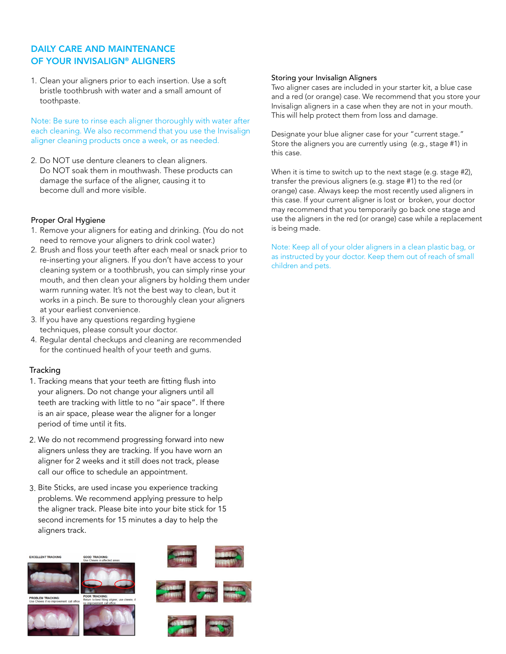# DAILY CARE AND MAINTENANCE OF YOUR INVISALIGN® ALIGNERS

1. Clean your aligners prior to each insertion. Use a soft bristle toothbrush with water and a small amount of toothpaste.

Note: Be sure to rinse each aligner thoroughly with water after each cleaning. We also recommend that you use the Invisalign aligner cleaning products once a week, or as needed.

2. Do NOT use denture cleaners to clean aligners. Do NOT soak them in mouthwash. These products can damage the surface of the aligner, causing it to become dull and more visible.

### Proper Oral Hygiene

- 1. Remove your aligners for eating and drinking. (You do not need to remove your aligners to drink cool water.)
- 2. Brush and floss your teeth after each meal or snack prior to re-inserting your aligners. If you don't have access to your cleaning system or a toothbrush, you can simply rinse your mouth, and then clean your aligners by holding them under warm running water. It's not the best way to clean, but it works in a pinch. Be sure to thoroughly clean your aligners at your earliest convenience.
- 3. If you have any questions regarding hygiene techniques, please consult your doctor.
- 4. Regular dental checkups and cleaning are recommended for the continued health of your teeth and gums.

### Tracking

- 1. Tracking means that your teeth are fitting flush into your aligners. Do not change your aligners until all teeth are tracking with little to no "air space". If there is an air space, please wear the aligner for a longer period of time until it fits.
- We do not recommend progressing forward into new 2. aligners unless they are tracking. If you have worn an aligner for 2 weeks and it still does not track, please call our office to schedule an appointment.
- Bite Sticks, are used incase you experience tracking 3. problems. We recommend applying pressure to help the aligner track. Please bite into your bite stick for 15 second increments for 15 minutes a day to help the aligners track.



#### Storing your Invisalign Aligners

Two aligner cases are included in your starter kit, a blue case and a red (or orange) case. We recommend that you store your Invisalign aligners in a case when they are not in your mouth. This will help protect them from loss and damage.

Designate your blue aligner case for your "current stage." Store the aligners you are currently using (e.g., stage #1) in this case.

When it is time to switch up to the next stage (e.g. stage #2), transfer the previous aligners (e.g. stage #1) to the red (or orange) case. Always keep the most recently used aligners in this case. If your current aligner is lost or broken, your doctor may recommend that you temporarily go back one stage and use the aligners in the red (or orange) case while a replacement is being made.

Note: Keep all of your older aligners in a clean plastic bag, or as instructed by your doctor. Keep them out of reach of small children and pets.